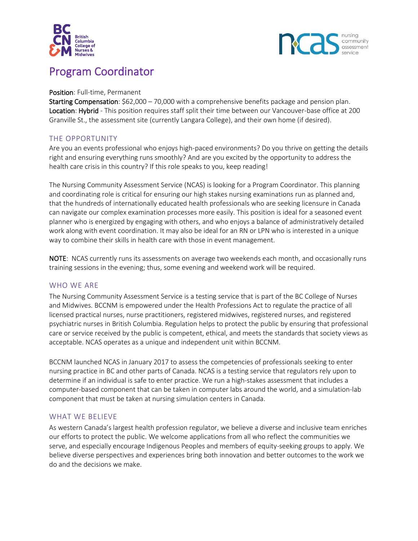



# Program Coordinator

#### Position: Full-time, Permanent

Starting Compensation: \$62,000 – 70,000 with a comprehensive benefits package and pension plan. Location: Hybrid - This position requires staff split their time between our Vancouver-base office at 200 Granville St., the assessment site (currently Langara College), and their own home (if desired).

# THE OPPORTUNITY

Are you an events professional who enjoys high-paced environments? Do you thrive on getting the details right and ensuring everything runs smoothly? And are you excited by the opportunity to address the health care crisis in this country? If this role speaks to you, keep reading!

The Nursing Community Assessment Service (NCAS) is looking for a Program Coordinator. This planning and coordinating role is critical for ensuring our high stakes nursing examinations run as planned and, that the hundreds of internationally educated health professionals who are seeking licensure in Canada can navigate our complex examination processes more easily. This position is ideal for a seasoned event planner who is energized by engaging with others, and who enjoys a balance of administratively detailed work along with event coordination. It may also be ideal for an RN or LPN who is interested in a unique way to combine their skills in health care with those in event management.

NOTE: NCAS currently runs its assessments on average two weekends each month, and occasionally runs training sessions in the evening; thus, some evening and weekend work will be required.

# WHO WE ARE

The Nursing Community Assessment Service is a testing service that is part of the BC College of Nurses and Midwives. BCCNM is empowered under the Health Professions Act to regulate the practice of all licensed practical nurses, nurse practitioners, registered midwives, registered nurses, and registered psychiatric nurses in British Columbia. Regulation helps to protect the public by ensuring that professional care or service received by the public is competent, ethical, and meets the standards that society views as acceptable. NCAS operates as a unique and independent unit within BCCNM.

BCCNM launched NCAS in January 2017 to assess the competencies of professionals seeking to enter nursing practice in BC and other parts of Canada. NCAS is a testing service that regulators rely upon to determine if an individual is safe to enter practice. We run a high-stakes assessment that includes a computer-based component that can be taken in computer labs around the world, and a simulation-lab component that must be taken at nursing simulation centers in Canada.

# WHAT WE BELIEVE

As western Canada's largest health profession regulator, we believe a diverse and inclusive team enriches our efforts to protect the public. We welcome applications from all who reflect the communities we serve, and especially encourage Indigenous Peoples and members of equity-seeking groups to apply. We believe diverse perspectives and experiences bring both innovation and better outcomes to the work we do and the decisions we make.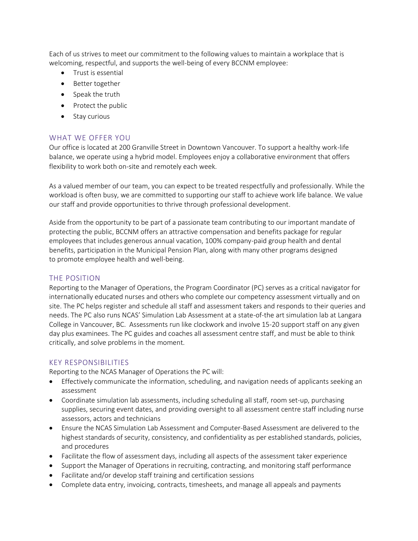Each of us strives to meet our commitment to the following values to maintain a workplace that is welcoming, respectful, and supports the well-being of every BCCNM employee:

- Trust is essential
- Better together
- Speak the truth
- Protect the public
- Stay curious

#### WHAT WE OFFER YOU

Our office is located at 200 Granville Street in Downtown Vancouver. To support a healthy work-life balance, we operate using a hybrid model. Employees enjoy a collaborative environment that offers flexibility to work both on-site and remotely each week.

As a valued member of our team, you can expect to be treated respectfully and professionally. While the workload is often busy, we are committed to supporting our staff to achieve work life balance. We value our staff and provide opportunities to thrive through professional development.

Aside from the opportunity to be part of a passionate team contributing to our important mandate of protecting the public, BCCNM offers an attractive compensation and benefits package for regular employees that includes generous annual vacation, 100% company-paid group health and dental benefits, participation in the Municipal Pension Plan, along with many other programs designed to promote employee health and well-being.

#### THE POSITION

Reporting to the Manager of Operations, the Program Coordinator (PC) serves as a critical navigator for internationally educated nurses and others who complete our competency assessment virtually and on site. The PC helps register and schedule all staff and assessment takers and responds to their queries and needs. The PC also runs NCAS' Simulation Lab Assessment at a state-of-the art simulation lab at Langara College in Vancouver, BC. Assessments run like clockwork and involve 15-20 support staff on any given day plus examinees. The PC guides and coaches all assessment centre staff, and must be able to think critically, and solve problems in the moment.

# KEY RESPONSIBILITIES

Reporting to the NCAS Manager of Operations the PC will:

- Effectively communicate the information, scheduling, and navigation needs of applicants seeking an assessment
- Coordinate simulation lab assessments, including scheduling all staff, room set-up, purchasing supplies, securing event dates, and providing oversight to all assessment centre staff including nurse assessors, actors and technicians
- Ensure the NCAS Simulation Lab Assessment and Computer-Based Assessment are delivered to the highest standards of security, consistency, and confidentiality as per established standards, policies, and procedures
- Facilitate the flow of assessment days, including all aspects of the assessment taker experience
- Support the Manager of Operations in recruiting, contracting, and monitoring staff performance
- Facilitate and/or develop staff training and certification sessions
- Complete data entry, invoicing, contracts, timesheets, and manage all appeals and payments